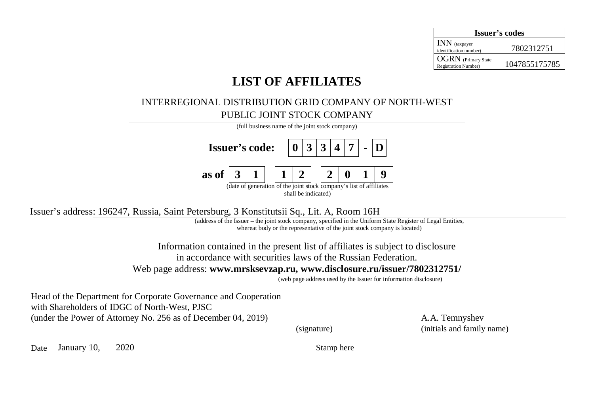| <b>Issuer's codes</b>                                      |               |  |  |  |  |  |
|------------------------------------------------------------|---------------|--|--|--|--|--|
| <b>INN</b> (taxpayer<br>identification number)             | 7802312751    |  |  |  |  |  |
| <b>OGRN</b> (Primary State<br><b>Registration Number</b> ) | 1047855175785 |  |  |  |  |  |

## **LIST OF AFFILIATES**

## INTERREGIONAL DISTRIBUTION GRID COMPANY OF NORTH-WEST PUBLIC JOINT STOCK COMPANY

| (full business name of the joint stock company)                                            |                                             |  |  |  |  |  |  |  |  |  |  |
|--------------------------------------------------------------------------------------------|---------------------------------------------|--|--|--|--|--|--|--|--|--|--|
|                                                                                            | <b>Issuer's code:</b> $ 0 3 3 4 7 $ - $ D $ |  |  |  |  |  |  |  |  |  |  |
| as of $ 3 1   1 2   2 0 1$                                                                 |                                             |  |  |  |  |  |  |  |  |  |  |
| (date of generation of the joint stock company's list of affiliates<br>shall be indicated) |                                             |  |  |  |  |  |  |  |  |  |  |

Issuer's address: 196247, Russia, Saint Petersburg, 3 Konstitutsii Sq., Lit. Ⱥ, Room 16H

(address of the Issuer – the joint stock company, specified in the Uniform State Register of Legal Entities, whereat body or the representative of the joint stock company is located)

Information contained in the present list of affiliates is subject to disclosure in accordance with securities laws of the Russian Federation.

Web page address: **[www.mrsksevzap.ru,](http://www.mrsksevzap.ru) [www.disclosure.ru/issuer/7802312751/](http://www.disclosure.ru/issuer/7802312751/)**

(web page address used by the Issuer for information disclosure)

Head of the Department for Corporate Governance and Cooperation with Shareholders of IDGC of North-West, PJSC (under the Power of Attorney No. 256 as of December 04, 2019) A.A. Temnyshev

(signature) (initials and family name)

Date January 10, 2020 Stamp here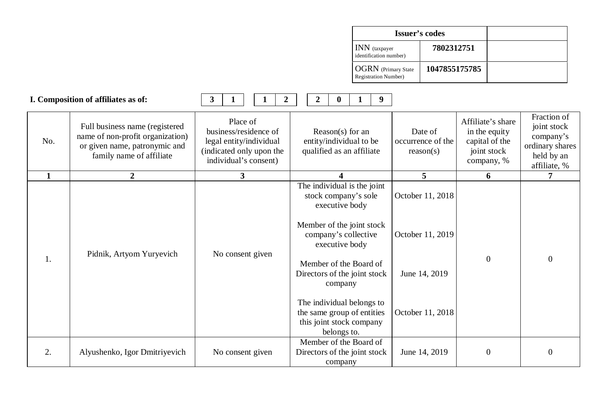| <b>Issuer's codes</b>                                      |               |  |
|------------------------------------------------------------|---------------|--|
| INN (taxpayer<br>identification number)                    | 7802312751    |  |
| <b>OGRN</b> (Primary State<br><b>Registration Number</b> ) | 1047855175785 |  |

|     | I. Composition of affiliates as of:                                                                                              | $\mathbf{3}$<br>$\overline{2}$<br>1<br>1                                                                                                                         | 9 <sup>°</sup><br>$\overline{2}$<br>$\bf{0}$<br>$\mathbf 1$                                        |                                           |                                                                                   |                                                                                          |
|-----|----------------------------------------------------------------------------------------------------------------------------------|------------------------------------------------------------------------------------------------------------------------------------------------------------------|----------------------------------------------------------------------------------------------------|-------------------------------------------|-----------------------------------------------------------------------------------|------------------------------------------------------------------------------------------|
| No. | Full business name (registered)<br>name of non-profit organization)<br>or given name, patronymic and<br>family name of affiliate | Place of<br>business/residence of<br>legal entity/individual<br>(indicated only upon the<br>individual's consent)                                                | Reason(s) for an<br>entity/individual to be<br>qualified as an affiliate                           | Date of<br>occurrence of the<br>reason(s) | Affiliate's share<br>in the equity<br>capital of the<br>joint stock<br>company, % | Fraction of<br>joint stock<br>company's<br>ordinary shares<br>held by an<br>affiliate, % |
| 1   | $\overline{2}$                                                                                                                   | 3                                                                                                                                                                | $\boldsymbol{4}$                                                                                   | 5 <sup>5</sup>                            | 6                                                                                 | 7                                                                                        |
|     |                                                                                                                                  | The individual is the joint<br>stock company's sole<br>executive body<br>Member of the joint stock<br>company's collective<br>executive body<br>No consent given | October 11, 2018                                                                                   |                                           |                                                                                   |                                                                                          |
| 1.  | Pidnik, Artyom Yuryevich                                                                                                         |                                                                                                                                                                  |                                                                                                    | October 11, 2019                          |                                                                                   | 0                                                                                        |
|     |                                                                                                                                  |                                                                                                                                                                  | Member of the Board of<br>Directors of the joint stock<br>company                                  | June 14, 2019                             | $\boldsymbol{0}$                                                                  |                                                                                          |
|     |                                                                                                                                  |                                                                                                                                                                  | The individual belongs to<br>the same group of entities<br>this joint stock company<br>belongs to. | October 11, 2018                          |                                                                                   |                                                                                          |
| 2.  | Alyushenko, Igor Dmitriyevich                                                                                                    | No consent given                                                                                                                                                 | Member of the Board of<br>Directors of the joint stock<br>company                                  | June 14, 2019                             | $\boldsymbol{0}$                                                                  | $\Omega$                                                                                 |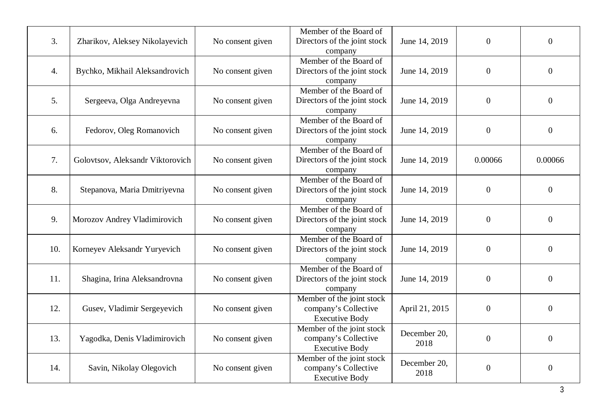| 3.  | Zharikov, Aleksey Nikolayevich   | No consent given | Member of the Board of<br>Directors of the joint stock | June 14, 2019  | $\overline{0}$   | $\overline{0}$   |
|-----|----------------------------------|------------------|--------------------------------------------------------|----------------|------------------|------------------|
|     |                                  |                  | company                                                |                |                  |                  |
|     |                                  |                  | Member of the Board of                                 |                |                  |                  |
| 4.  | Bychko, Mikhail Aleksandrovich   | No consent given | Directors of the joint stock                           | June 14, 2019  | $\boldsymbol{0}$ | $\boldsymbol{0}$ |
|     |                                  |                  | company                                                |                |                  |                  |
|     |                                  |                  | Member of the Board of                                 |                |                  |                  |
| 5.  | Sergeeva, Olga Andreyevna        | No consent given | Directors of the joint stock                           | June 14, 2019  | $\boldsymbol{0}$ | $\boldsymbol{0}$ |
|     |                                  |                  | company                                                |                |                  |                  |
|     |                                  |                  | Member of the Board of                                 |                |                  |                  |
| 6.  | Fedorov, Oleg Romanovich         | No consent given | Directors of the joint stock                           | June 14, 2019  | $\boldsymbol{0}$ | $\boldsymbol{0}$ |
|     |                                  |                  | company                                                |                |                  |                  |
|     |                                  |                  | Member of the Board of                                 |                |                  |                  |
| 7.  | Golovtsov, Aleksandr Viktorovich | No consent given | Directors of the joint stock                           | June 14, 2019  | 0.00066          | 0.00066          |
|     |                                  |                  | company                                                |                |                  |                  |
|     |                                  |                  | Member of the Board of                                 |                |                  |                  |
| 8.  | Stepanova, Maria Dmitriyevna     | No consent given | Directors of the joint stock                           | June 14, 2019  | $\overline{0}$   | $\overline{0}$   |
|     |                                  |                  | company                                                |                |                  |                  |
|     |                                  |                  | Member of the Board of                                 |                |                  |                  |
| 9.  | Morozov Andrey Vladimirovich     | No consent given | Directors of the joint stock                           | June 14, 2019  | $\boldsymbol{0}$ | $\boldsymbol{0}$ |
|     |                                  |                  | company                                                |                |                  |                  |
|     |                                  |                  | Member of the Board of                                 |                |                  |                  |
| 10. | Korneyev Aleksandr Yuryevich     | No consent given | Directors of the joint stock                           | June 14, 2019  | $\boldsymbol{0}$ | $\boldsymbol{0}$ |
|     |                                  |                  | company                                                |                |                  |                  |
|     |                                  |                  | Member of the Board of                                 |                |                  |                  |
| 11. | Shagina, Irina Aleksandrovna     | No consent given | Directors of the joint stock                           | June 14, 2019  | $\boldsymbol{0}$ | $\boldsymbol{0}$ |
|     |                                  |                  | company                                                |                |                  |                  |
| 12. |                                  |                  | Member of the joint stock                              |                |                  |                  |
|     | Gusev, Vladimir Sergeyevich      | No consent given | company's Collective                                   | April 21, 2015 | $\boldsymbol{0}$ | $\overline{0}$   |
|     |                                  |                  | <b>Executive Body</b><br>Member of the joint stock     |                |                  |                  |
| 13. | Yagodka, Denis Vladimirovich     | No consent given | company's Collective                                   | December 20,   | $\boldsymbol{0}$ | $\boldsymbol{0}$ |
|     |                                  |                  | <b>Executive Body</b>                                  | 2018           |                  |                  |
|     |                                  |                  | Member of the joint stock                              |                |                  |                  |
| 14. | Savin, Nikolay Olegovich         | No consent given | company's Collective                                   | December 20,   | $\boldsymbol{0}$ | $\boldsymbol{0}$ |
|     |                                  |                  | <b>Executive Body</b>                                  | 2018           |                  |                  |
|     |                                  |                  |                                                        |                |                  |                  |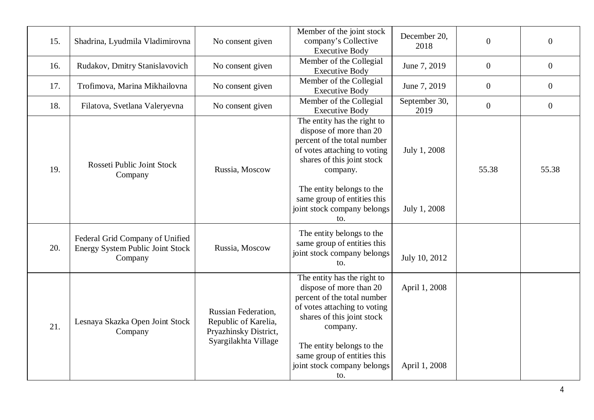| 15. | Shadrina, Lyudmila Vladimirovna                                                       | No consent given                                                                                    | Member of the joint stock<br>company's Collective<br><b>Executive Body</b>                                                                                                                                                                                        | December 20,<br>2018           | $\boldsymbol{0}$ | $\boldsymbol{0}$ |
|-----|---------------------------------------------------------------------------------------|-----------------------------------------------------------------------------------------------------|-------------------------------------------------------------------------------------------------------------------------------------------------------------------------------------------------------------------------------------------------------------------|--------------------------------|------------------|------------------|
| 16. | Rudakov, Dmitry Stanislavovich                                                        | No consent given                                                                                    | Member of the Collegial<br><b>Executive Body</b>                                                                                                                                                                                                                  | June 7, 2019                   | $\overline{0}$   | $\overline{0}$   |
| 17. | Trofimova, Marina Mikhailovna                                                         | No consent given                                                                                    | Member of the Collegial<br><b>Executive Body</b>                                                                                                                                                                                                                  | June 7, 2019                   | $\boldsymbol{0}$ | $\boldsymbol{0}$ |
| 18. | Filatova, Svetlana Valeryevna                                                         | No consent given                                                                                    | Member of the Collegial<br><b>Executive Body</b>                                                                                                                                                                                                                  | September 30,<br>2019          | $\overline{0}$   | $\boldsymbol{0}$ |
| 19. | Rosseti Public Joint Stock<br>Company                                                 | Russia, Moscow                                                                                      | The entity has the right to<br>dispose of more than 20<br>percent of the total number<br>of votes attaching to voting<br>shares of this joint stock<br>company.<br>The entity belongs to the<br>same group of entities this<br>joint stock company belongs<br>to. | July 1, 2008<br>July 1, 2008   | 55.38            | 55.38            |
| 20. | Federal Grid Company of Unified<br><b>Energy System Public Joint Stock</b><br>Company | Russia, Moscow                                                                                      | The entity belongs to the<br>same group of entities this<br>joint stock company belongs<br>to.                                                                                                                                                                    | July 10, 2012                  |                  |                  |
| 21. | Lesnaya Skazka Open Joint Stock<br>Company                                            | <b>Russian Federation,</b><br>Republic of Karelia,<br>Pryazhinsky District,<br>Syargilakhta Village | The entity has the right to<br>dispose of more than 20<br>percent of the total number<br>of votes attaching to voting<br>shares of this joint stock<br>company.<br>The entity belongs to the<br>same group of entities this<br>joint stock company belongs<br>to. | April 1, 2008<br>April 1, 2008 |                  |                  |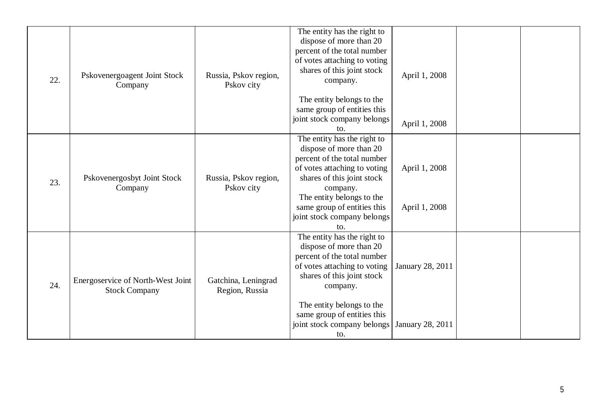| 22. | Pskovenergoagent Joint Stock<br>Company                   | Russia, Pskov region,<br>Pskov city   | The entity has the right to<br>dispose of more than 20<br>percent of the total number<br>of votes attaching to voting<br>shares of this joint stock<br>company.<br>The entity belongs to the<br>same group of entities this<br>joint stock company belongs<br>to.   | April 1, 2008<br>April 1, 2008       |  |
|-----|-----------------------------------------------------------|---------------------------------------|---------------------------------------------------------------------------------------------------------------------------------------------------------------------------------------------------------------------------------------------------------------------|--------------------------------------|--|
| 23. | Pskovenergosbyt Joint Stock<br>Company                    | Russia, Pskov region,<br>Pskov city   | The entity has the right to<br>dispose of more than 20<br>percent of the total number<br>of votes attaching to voting<br>shares of this joint stock<br>company.<br>The entity belongs to the<br>same group of entities this<br>joint stock company belongs<br>to.   | April 1, 2008<br>April 1, 2008       |  |
| 24. | Energoservice of North-West Joint<br><b>Stock Company</b> | Gatchina, Leningrad<br>Region, Russia | The entity has the right to<br>dispose of more than 20<br>percent of the total number<br>of votes attaching to voting<br>shares of this joint stock<br>company.<br>The entity belongs to the<br>same group of entities this<br>joint stock company belongs  <br>to. | January 28, 2011<br>January 28, 2011 |  |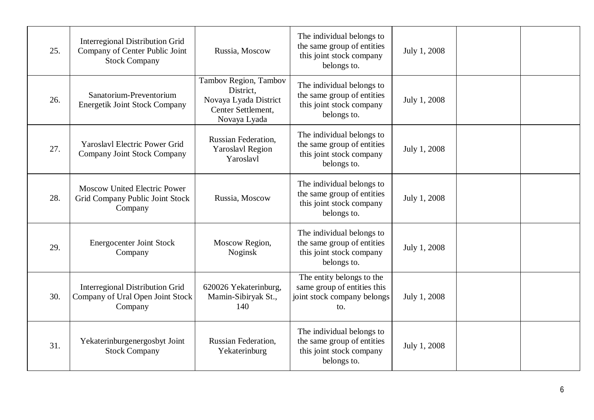| 25. | <b>Interregional Distribution Grid</b><br>Company of Center Public Joint<br><b>Stock Company</b> | Russia, Moscow                                                                                    | The individual belongs to<br>the same group of entities<br>this joint stock company<br>belongs to. | July 1, 2008 |  |
|-----|--------------------------------------------------------------------------------------------------|---------------------------------------------------------------------------------------------------|----------------------------------------------------------------------------------------------------|--------------|--|
| 26. | Sanatorium-Preventorium<br><b>Energetik Joint Stock Company</b>                                  | Tambov Region, Tambov<br>District.<br>Novaya Lyada District<br>Center Settlement,<br>Novaya Lyada | The individual belongs to<br>the same group of entities<br>this joint stock company<br>belongs to. | July 1, 2008 |  |
| 27. | <b>Yaroslavl Electric Power Grid</b><br>Company Joint Stock Company                              | Russian Federation,<br><b>Yaroslavl Region</b><br>Yaroslavl                                       | The individual belongs to<br>the same group of entities<br>this joint stock company<br>belongs to. | July 1, 2008 |  |
| 28. | <b>Moscow United Electric Power</b><br>Grid Company Public Joint Stock<br>Company                | Russia, Moscow                                                                                    | The individual belongs to<br>the same group of entities<br>this joint stock company<br>belongs to. | July 1, 2008 |  |
| 29. | <b>Energocenter Joint Stock</b><br>Company                                                       | Moscow Region,<br>Noginsk                                                                         | The individual belongs to<br>the same group of entities<br>this joint stock company<br>belongs to. | July 1, 2008 |  |
| 30. | <b>Interregional Distribution Grid</b><br>Company of Ural Open Joint Stock<br>Company            | 620026 Yekaterinburg,<br>Mamin-Sibiryak St.,<br>140                                               | The entity belongs to the<br>same group of entities this<br>joint stock company belongs<br>to.     | July 1, 2008 |  |
| 31. | Yekaterinburgenergosbyt Joint<br><b>Stock Company</b>                                            | Russian Federation,<br>Yekaterinburg                                                              | The individual belongs to<br>the same group of entities<br>this joint stock company<br>belongs to. | July 1, 2008 |  |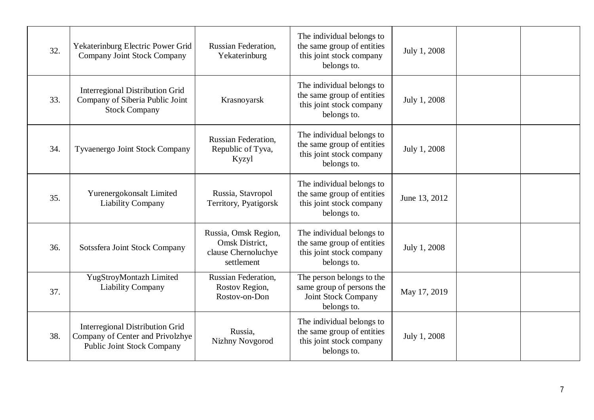| 32. | Yekaterinburg Electric Power Grid<br>Company Joint Stock Company                                                | Russian Federation,<br>Yekaterinburg                                        | The individual belongs to<br>the same group of entities<br>this joint stock company<br>belongs to.  | July 1, 2008  |  |
|-----|-----------------------------------------------------------------------------------------------------------------|-----------------------------------------------------------------------------|-----------------------------------------------------------------------------------------------------|---------------|--|
| 33. | <b>Interregional Distribution Grid</b><br>Company of Siberia Public Joint<br><b>Stock Company</b>               | Krasnoyarsk                                                                 | The individual belongs to<br>the same group of entities<br>this joint stock company<br>belongs to.  | July 1, 2008  |  |
| 34. | <b>Tyvaenergo Joint Stock Company</b>                                                                           | Russian Federation,<br>Republic of Tyva,<br>Kyzyl                           | The individual belongs to<br>the same group of entities<br>this joint stock company<br>belongs to.  | July 1, 2008  |  |
| 35. | Yurenergokonsalt Limited<br><b>Liability Company</b>                                                            | Russia, Stavropol<br>Territory, Pyatigorsk                                  | The individual belongs to<br>the same group of entities<br>this joint stock company<br>belongs to.  | June 13, 2012 |  |
| 36. | Sotssfera Joint Stock Company                                                                                   | Russia, Omsk Region,<br>Omsk District,<br>clause Chernoluchye<br>settlement | The individual belongs to<br>the same group of entities<br>this joint stock company<br>belongs to.  | July 1, 2008  |  |
| 37. | YugStroyMontazh Limited<br><b>Liability Company</b>                                                             | Russian Federation,<br>Rostov Region,<br>Rostov-on-Don                      | The person belongs to the<br>same group of persons the<br><b>Joint Stock Company</b><br>belongs to. | May 17, 2019  |  |
| 38. | <b>Interregional Distribution Grid</b><br>Company of Center and Privolzhye<br><b>Public Joint Stock Company</b> | Russia,<br>Nizhny Novgorod                                                  | The individual belongs to<br>the same group of entities<br>this joint stock company<br>belongs to.  | July 1, 2008  |  |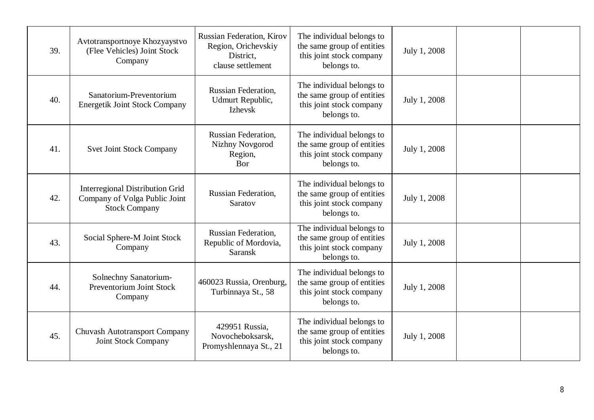| 39. | Avtotransportnoye Khozyaystvo<br>(Flee Vehicles) Joint Stock<br>Company                         | <b>Russian Federation, Kirov</b><br>Region, Orichevskiy<br>District,<br>clause settlement | The individual belongs to<br>the same group of entities<br>this joint stock company<br>belongs to. | July 1, 2008 |  |
|-----|-------------------------------------------------------------------------------------------------|-------------------------------------------------------------------------------------------|----------------------------------------------------------------------------------------------------|--------------|--|
| 40. | Sanatorium-Preventorium<br><b>Energetik Joint Stock Company</b>                                 | <b>Russian Federation,</b><br>Udmurt Republic,<br><b>Izhevsk</b>                          | The individual belongs to<br>the same group of entities<br>this joint stock company<br>belongs to. | July 1, 2008 |  |
| 41. | <b>Svet Joint Stock Company</b>                                                                 | <b>Russian Federation,</b><br>Nizhny Novgorod<br>Region,<br>Bor                           | The individual belongs to<br>the same group of entities<br>this joint stock company<br>belongs to. | July 1, 2008 |  |
| 42. | <b>Interregional Distribution Grid</b><br>Company of Volga Public Joint<br><b>Stock Company</b> | Russian Federation,<br>Saratov                                                            | The individual belongs to<br>the same group of entities<br>this joint stock company<br>belongs to. | July 1, 2008 |  |
| 43. | Social Sphere-M Joint Stock<br>Company                                                          | <b>Russian Federation,</b><br>Republic of Mordovia,<br><b>Saransk</b>                     | The individual belongs to<br>the same group of entities<br>this joint stock company<br>belongs to. | July 1, 2008 |  |
| 44. | Solnechny Sanatorium-<br>Preventorium Joint Stock<br>Company                                    | 460023 Russia, Orenburg,<br>Turbinnaya St., 58                                            | The individual belongs to<br>the same group of entities<br>this joint stock company<br>belongs to. | July 1, 2008 |  |
| 45. | <b>Chuvash Autotransport Company</b><br><b>Joint Stock Company</b>                              | 429951 Russia,<br>Novocheboksarsk,<br>Promyshlennaya St., 21                              | The individual belongs to<br>the same group of entities<br>this joint stock company<br>belongs to. | July 1, 2008 |  |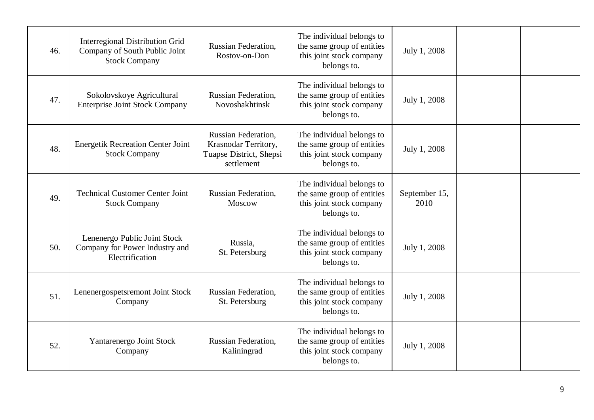| 46. | <b>Interregional Distribution Grid</b><br>Company of South Public Joint<br><b>Stock Company</b> | Russian Federation,<br>Rostov-on-Don                                                 | The individual belongs to<br>the same group of entities<br>this joint stock company<br>belongs to. | July 1, 2008          |  |
|-----|-------------------------------------------------------------------------------------------------|--------------------------------------------------------------------------------------|----------------------------------------------------------------------------------------------------|-----------------------|--|
| 47. | Sokolovskoye Agricultural<br><b>Enterprise Joint Stock Company</b>                              | Russian Federation,<br>Novoshakhtinsk                                                | The individual belongs to<br>the same group of entities<br>this joint stock company<br>belongs to. | July 1, 2008          |  |
| 48. | <b>Energetik Recreation Center Joint</b><br><b>Stock Company</b>                                | Russian Federation,<br>Krasnodar Territory,<br>Tuapse District, Shepsi<br>settlement | The individual belongs to<br>the same group of entities<br>this joint stock company<br>belongs to. | July 1, 2008          |  |
| 49. | <b>Technical Customer Center Joint</b><br><b>Stock Company</b>                                  | Russian Federation,<br>Moscow                                                        | The individual belongs to<br>the same group of entities<br>this joint stock company<br>belongs to. | September 15,<br>2010 |  |
| 50. | Lenenergo Public Joint Stock<br>Company for Power Industry and<br>Electrification               | Russia.<br>St. Petersburg                                                            | The individual belongs to<br>the same group of entities<br>this joint stock company<br>belongs to. | July 1, 2008          |  |
| 51. | Lenenergospetsremont Joint Stock<br>Company                                                     | Russian Federation,<br>St. Petersburg                                                | The individual belongs to<br>the same group of entities<br>this joint stock company<br>belongs to. | July 1, 2008          |  |
| 52. | Yantarenergo Joint Stock<br>Company                                                             | Russian Federation,<br>Kaliningrad                                                   | The individual belongs to<br>the same group of entities<br>this joint stock company<br>belongs to. | July 1, 2008          |  |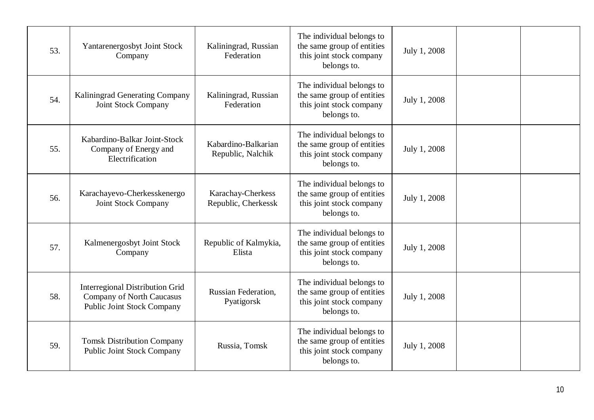| 53. | Yantarenergosbyt Joint Stock<br>Company                                                                         | Kaliningrad, Russian<br>Federation       | The individual belongs to<br>the same group of entities<br>this joint stock company<br>belongs to. | July 1, 2008 |  |
|-----|-----------------------------------------------------------------------------------------------------------------|------------------------------------------|----------------------------------------------------------------------------------------------------|--------------|--|
| 54. | Kaliningrad Generating Company<br><b>Joint Stock Company</b>                                                    | Kaliningrad, Russian<br>Federation       | The individual belongs to<br>the same group of entities<br>this joint stock company<br>belongs to. | July 1, 2008 |  |
| 55. | Kabardino-Balkar Joint-Stock<br>Company of Energy and<br>Electrification                                        | Kabardino-Balkarian<br>Republic, Nalchik | The individual belongs to<br>the same group of entities<br>this joint stock company<br>belongs to. | July 1, 2008 |  |
| 56. | Karachayevo-Cherkesskenergo<br><b>Joint Stock Company</b>                                                       | Karachay-Cherkess<br>Republic, Cherkessk | The individual belongs to<br>the same group of entities<br>this joint stock company<br>belongs to. | July 1, 2008 |  |
| 57. | Kalmenergosbyt Joint Stock<br>Company                                                                           | Republic of Kalmykia,<br>Elista          | The individual belongs to<br>the same group of entities<br>this joint stock company<br>belongs to. | July 1, 2008 |  |
| 58. | <b>Interregional Distribution Grid</b><br><b>Company of North Caucasus</b><br><b>Public Joint Stock Company</b> | <b>Russian Federation,</b><br>Pyatigorsk | The individual belongs to<br>the same group of entities<br>this joint stock company<br>belongs to. | July 1, 2008 |  |
| 59. | <b>Tomsk Distribution Company</b><br><b>Public Joint Stock Company</b>                                          | Russia, Tomsk                            | The individual belongs to<br>the same group of entities<br>this joint stock company<br>belongs to. | July 1, 2008 |  |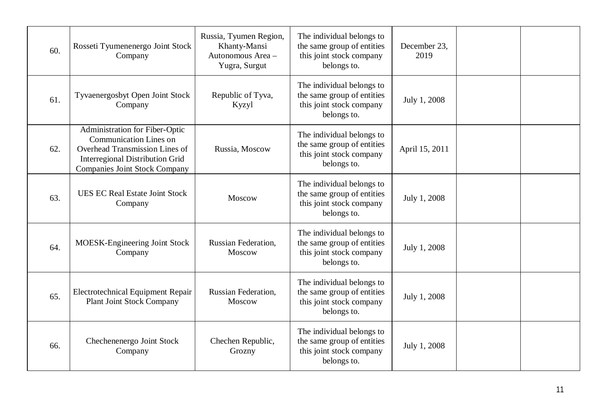| 60. | Rosseti Tyumenenergo Joint Stock<br>Company                                                                                                                                         | Russia, Tyumen Region,<br>Khanty-Mansi<br>Autonomous Area -<br>Yugra, Surgut | The individual belongs to<br>the same group of entities<br>this joint stock company<br>belongs to. | December 23,<br>2019 |  |
|-----|-------------------------------------------------------------------------------------------------------------------------------------------------------------------------------------|------------------------------------------------------------------------------|----------------------------------------------------------------------------------------------------|----------------------|--|
| 61. | Tyvaenergosbyt Open Joint Stock<br>Company                                                                                                                                          | Republic of Tyva,<br>Kyzyl                                                   | The individual belongs to<br>the same group of entities<br>this joint stock company<br>belongs to. | July 1, 2008         |  |
| 62. | Administration for Fiber-Optic<br><b>Communication Lines on</b><br>Overhead Transmission Lines of<br><b>Interregional Distribution Grid</b><br><b>Companies Joint Stock Company</b> | Russia, Moscow                                                               | The individual belongs to<br>the same group of entities<br>this joint stock company<br>belongs to. | April 15, 2011       |  |
| 63. | <b>UES EC Real Estate Joint Stock</b><br>Company                                                                                                                                    | Moscow                                                                       | The individual belongs to<br>the same group of entities<br>this joint stock company<br>belongs to. | July 1, 2008         |  |
| 64. | MOESK-Engineering Joint Stock<br>Company                                                                                                                                            | Russian Federation,<br>Moscow                                                | The individual belongs to<br>the same group of entities<br>this joint stock company<br>belongs to. | July 1, 2008         |  |
| 65. | <b>Electrotechnical Equipment Repair</b><br><b>Plant Joint Stock Company</b>                                                                                                        | Russian Federation,<br>Moscow                                                | The individual belongs to<br>the same group of entities<br>this joint stock company<br>belongs to. | July 1, 2008         |  |
| 66. | Chechenenergo Joint Stock<br>Company                                                                                                                                                | Chechen Republic,<br>Grozny                                                  | The individual belongs to<br>the same group of entities<br>this joint stock company<br>belongs to. | July 1, 2008         |  |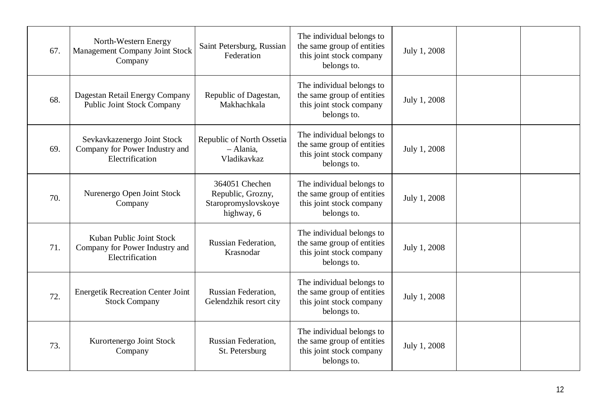| 67. | North-Western Energy<br>Management Company Joint Stock<br>Company                | Saint Petersburg, Russian<br>Federation                                  | The individual belongs to<br>the same group of entities<br>this joint stock company<br>belongs to. | July 1, 2008 |  |
|-----|----------------------------------------------------------------------------------|--------------------------------------------------------------------------|----------------------------------------------------------------------------------------------------|--------------|--|
| 68. | Dagestan Retail Energy Company<br><b>Public Joint Stock Company</b>              | Republic of Dagestan,<br>Makhachkala                                     | The individual belongs to<br>the same group of entities<br>this joint stock company<br>belongs to. | July 1, 2008 |  |
| 69. | Sevkavkazenergo Joint Stock<br>Company for Power Industry and<br>Electrification | Republic of North Ossetia<br>$-$ Alania,<br>Vladikavkaz                  | The individual belongs to<br>the same group of entities<br>this joint stock company<br>belongs to. | July 1, 2008 |  |
| 70. | Nurenergo Open Joint Stock<br>Company                                            | 364051 Chechen<br>Republic, Grozny,<br>Staropromyslovskoye<br>highway, 6 | The individual belongs to<br>the same group of entities<br>this joint stock company<br>belongs to. | July 1, 2008 |  |
| 71. | Kuban Public Joint Stock<br>Company for Power Industry and<br>Electrification    | Russian Federation,<br>Krasnodar                                         | The individual belongs to<br>the same group of entities<br>this joint stock company<br>belongs to. | July 1, 2008 |  |
| 72. | <b>Energetik Recreation Center Joint</b><br><b>Stock Company</b>                 | Russian Federation,<br>Gelendzhik resort city                            | The individual belongs to<br>the same group of entities<br>this joint stock company<br>belongs to. | July 1, 2008 |  |
| 73. | Kurortenergo Joint Stock<br>Company                                              | <b>Russian Federation,</b><br>St. Petersburg                             | The individual belongs to<br>the same group of entities<br>this joint stock company<br>belongs to. | July 1, 2008 |  |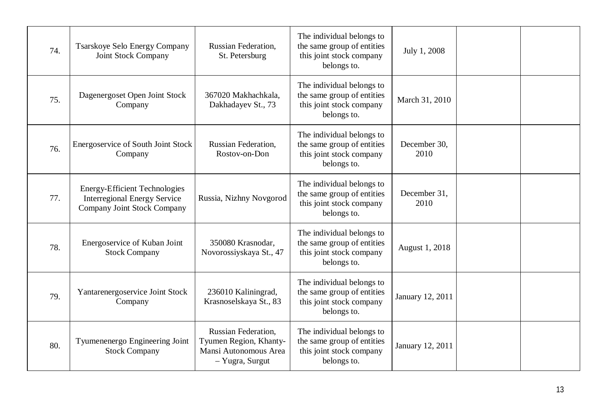| 74. | <b>Tsarskoye Selo Energy Company</b><br><b>Joint Stock Company</b>                                                | Russian Federation,<br>St. Petersburg                                                            | The individual belongs to<br>the same group of entities<br>this joint stock company<br>belongs to. | July 1, 2008         |  |
|-----|-------------------------------------------------------------------------------------------------------------------|--------------------------------------------------------------------------------------------------|----------------------------------------------------------------------------------------------------|----------------------|--|
| 75. | Dagenergoset Open Joint Stock<br>Company                                                                          | 367020 Makhachkala,<br>Dakhadayev St., 73                                                        | The individual belongs to<br>the same group of entities<br>this joint stock company<br>belongs to. | March 31, 2010       |  |
| 76. | Energoservice of South Joint Stock<br>Company                                                                     | <b>Russian Federation,</b><br>Rostov-on-Don                                                      | The individual belongs to<br>the same group of entities<br>this joint stock company<br>belongs to. | December 30,<br>2010 |  |
| 77. | <b>Energy-Efficient Technologies</b><br><b>Interregional Energy Service</b><br><b>Company Joint Stock Company</b> | Russia, Nizhny Novgorod                                                                          | The individual belongs to<br>the same group of entities<br>this joint stock company<br>belongs to. | December 31,<br>2010 |  |
| 78. | Energoservice of Kuban Joint<br><b>Stock Company</b>                                                              | 350080 Krasnodar,<br>Novorossiyskaya St., 47                                                     | The individual belongs to<br>the same group of entities<br>this joint stock company<br>belongs to. | August 1, 2018       |  |
| 79. | Yantarenergoservice Joint Stock<br>Company                                                                        | 236010 Kaliningrad,<br>Krasnoselskaya St., 83                                                    | The individual belongs to<br>the same group of entities<br>this joint stock company<br>belongs to. | January 12, 2011     |  |
| 80. | Tyumenenergo Engineering Joint<br><b>Stock Company</b>                                                            | <b>Russian Federation,</b><br>Tyumen Region, Khanty-<br>Mansi Autonomous Area<br>- Yugra, Surgut | The individual belongs to<br>the same group of entities<br>this joint stock company<br>belongs to. | January 12, 2011     |  |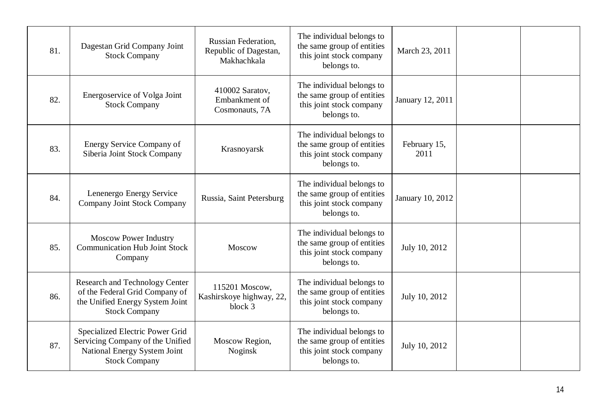| 81. | Dagestan Grid Company Joint<br><b>Stock Company</b>                                                                                | <b>Russian Federation,</b><br>Republic of Dagestan,<br>Makhachkala | The individual belongs to<br>the same group of entities<br>this joint stock company<br>belongs to. | March 23, 2011       |  |
|-----|------------------------------------------------------------------------------------------------------------------------------------|--------------------------------------------------------------------|----------------------------------------------------------------------------------------------------|----------------------|--|
| 82. | Energoservice of Volga Joint<br><b>Stock Company</b>                                                                               | 410002 Saratov,<br>Embankment of<br>Cosmonauts, 7A                 | The individual belongs to<br>the same group of entities<br>this joint stock company<br>belongs to. | January 12, 2011     |  |
| 83. | <b>Energy Service Company of</b><br>Siberia Joint Stock Company                                                                    | Krasnoyarsk                                                        | The individual belongs to<br>the same group of entities<br>this joint stock company<br>belongs to. | February 15,<br>2011 |  |
| 84. | Lenenergo Energy Service<br>Company Joint Stock Company                                                                            | Russia, Saint Petersburg                                           | The individual belongs to<br>the same group of entities<br>this joint stock company<br>belongs to. | January 10, 2012     |  |
| 85. | <b>Moscow Power Industry</b><br><b>Communication Hub Joint Stock</b><br>Company                                                    | Moscow                                                             | The individual belongs to<br>the same group of entities<br>this joint stock company<br>belongs to. | July 10, 2012        |  |
| 86. | <b>Research and Technology Center</b><br>of the Federal Grid Company of<br>the Unified Energy System Joint<br><b>Stock Company</b> | 115201 Moscow,<br>Kashirskoye highway, 22,<br>block 3              | The individual belongs to<br>the same group of entities<br>this joint stock company<br>belongs to. | July 10, 2012        |  |
| 87. | Specialized Electric Power Grid<br>Servicing Company of the Unified<br>National Energy System Joint<br><b>Stock Company</b>        | Moscow Region,<br>Noginsk                                          | The individual belongs to<br>the same group of entities<br>this joint stock company<br>belongs to. | July 10, 2012        |  |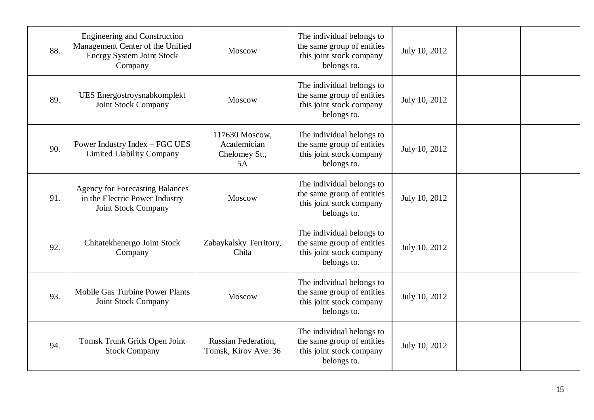| 88. | <b>Engineering and Construction</b><br>Management Center of the Unified<br><b>Energy System Joint Stock</b><br>Company | Moscow                                               | The individual belongs to<br>the same group of entities<br>this joint stock company<br>belongs to. | July 10, 2012 |  |
|-----|------------------------------------------------------------------------------------------------------------------------|------------------------------------------------------|----------------------------------------------------------------------------------------------------|---------------|--|
| 89. | UES Energostroysnabkomplekt<br><b>Joint Stock Company</b>                                                              | Moscow                                               | The individual belongs to<br>the same group of entities<br>this joint stock company<br>belongs to. | July 10, 2012 |  |
| 90. | Power Industry Index – FGC UES<br><b>Limited Liability Company</b>                                                     | 117630 Moscow,<br>Academician<br>Chelomey St.,<br>5A | The individual belongs to<br>the same group of entities<br>this joint stock company<br>belongs to. | July 10, 2012 |  |
| 91. | <b>Agency for Forecasting Balances</b><br>in the Electric Power Industry<br><b>Joint Stock Company</b>                 | Moscow                                               | The individual belongs to<br>the same group of entities<br>this joint stock company<br>belongs to. | July 10, 2012 |  |
| 92. | Chitatekhenergo Joint Stock<br>Company                                                                                 | Zabaykalsky Territory,<br>Chita                      | The individual belongs to<br>the same group of entities<br>this joint stock company<br>belongs to. | July 10, 2012 |  |
| 93. | Mobile Gas Turbine Power Plants<br>Joint Stock Company                                                                 | Moscow                                               | The individual belongs to<br>the same group of entities<br>this joint stock company<br>belongs to. | July 10, 2012 |  |
| 94. | Tomsk Trunk Grids Open Joint<br><b>Stock Company</b>                                                                   | <b>Russian Federation,</b><br>Tomsk, Kirov Ave. 36   | The individual belongs to<br>the same group of entities<br>this joint stock company<br>belongs to. | July 10, 2012 |  |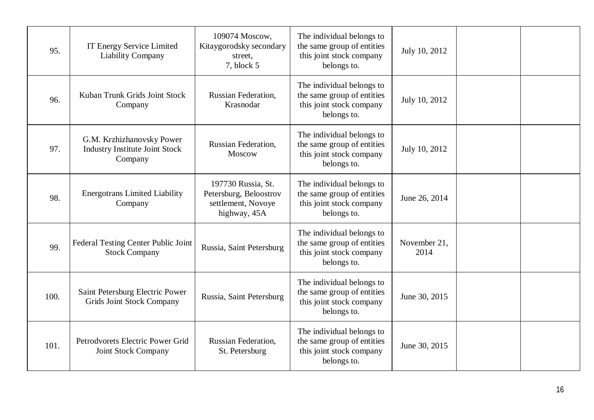| 95.  | <b>IT Energy Service Limited</b><br><b>Liability Company</b>                  | 109074 Moscow,<br>Kitaygorodsky secondary<br>street,<br>7, block 5                 | The individual belongs to<br>the same group of entities<br>this joint stock company<br>belongs to. | July 10, 2012        |  |
|------|-------------------------------------------------------------------------------|------------------------------------------------------------------------------------|----------------------------------------------------------------------------------------------------|----------------------|--|
| 96.  | Kuban Trunk Grids Joint Stock<br>Company                                      | Russian Federation,<br>Krasnodar                                                   | The individual belongs to<br>the same group of entities<br>this joint stock company<br>belongs to. | July 10, 2012        |  |
| 97.  | G.M. Krzhizhanovsky Power<br><b>Industry Institute Joint Stock</b><br>Company | <b>Russian Federation,</b><br>Moscow                                               | The individual belongs to<br>the same group of entities<br>this joint stock company<br>belongs to. | July 10, 2012        |  |
| 98.  | <b>Energotrans Limited Liability</b><br>Company                               | 197730 Russia, St.<br>Petersburg, Beloostrov<br>settlement, Novoye<br>highway, 45A | The individual belongs to<br>the same group of entities<br>this joint stock company<br>belongs to. | June 26, 2014        |  |
| 99.  | Federal Testing Center Public Joint<br><b>Stock Company</b>                   | Russia, Saint Petersburg                                                           | The individual belongs to<br>the same group of entities<br>this joint stock company<br>belongs to. | November 21,<br>2014 |  |
| 100. | Saint Petersburg Electric Power<br><b>Grids Joint Stock Company</b>           | Russia, Saint Petersburg                                                           | The individual belongs to<br>the same group of entities<br>this joint stock company<br>belongs to. | June 30, 2015        |  |
| 101. | Petrodvorets Electric Power Grid<br>Joint Stock Company                       | <b>Russian Federation,</b><br>St. Petersburg                                       | The individual belongs to<br>the same group of entities<br>this joint stock company<br>belongs to. | June 30, 2015        |  |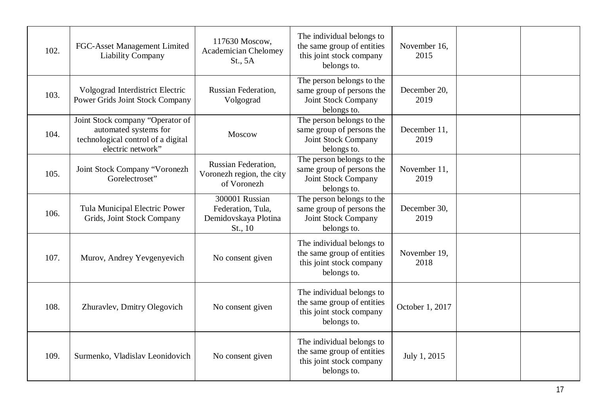| 102. | FGC-Asset Management Limited<br><b>Liability Company</b>                                                             | 117630 Moscow,<br><b>Academician Chelomey</b><br>St., 5A               | The individual belongs to<br>the same group of entities<br>this joint stock company<br>belongs to. | November 16,<br>2015 |  |
|------|----------------------------------------------------------------------------------------------------------------------|------------------------------------------------------------------------|----------------------------------------------------------------------------------------------------|----------------------|--|
| 103. | Volgograd Interdistrict Electric<br><b>Power Grids Joint Stock Company</b>                                           | Russian Federation,<br>Volgograd                                       | The person belongs to the<br>same group of persons the<br>Joint Stock Company<br>belongs to.       | December 20,<br>2019 |  |
| 104. | Joint Stock company "Operator of<br>automated systems for<br>technological control of a digital<br>electric network" | Moscow                                                                 | The person belongs to the<br>same group of persons the<br>Joint Stock Company<br>belongs to.       | December 11,<br>2019 |  |
| 105. | Joint Stock Company "Voronezh<br>Gorelectroset"                                                                      | Russian Federation,<br>Voronezh region, the city<br>of Voronezh        | The person belongs to the<br>same group of persons the<br>Joint Stock Company<br>belongs to.       | November 11,<br>2019 |  |
| 106. | Tula Municipal Electric Power<br>Grids, Joint Stock Company                                                          | 300001 Russian<br>Federation, Tula,<br>Demidovskaya Plotina<br>St., 10 | The person belongs to the<br>same group of persons the<br>Joint Stock Company<br>belongs to.       | December 30,<br>2019 |  |
| 107. | Murov, Andrey Yevgenyevich                                                                                           | No consent given                                                       | The individual belongs to<br>the same group of entities<br>this joint stock company<br>belongs to. | November 19,<br>2018 |  |
| 108. | Zhuravlev, Dmitry Olegovich                                                                                          | No consent given                                                       | The individual belongs to<br>the same group of entities<br>this joint stock company<br>belongs to. | October 1, 2017      |  |
| 109. | Surmenko, Vladislav Leonidovich                                                                                      | No consent given                                                       | The individual belongs to<br>the same group of entities<br>this joint stock company<br>belongs to. | July 1, 2015         |  |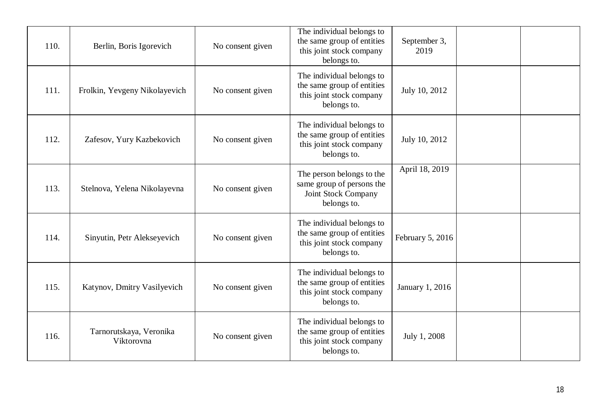| 110. | Berlin, Boris Igorevich               | No consent given | The individual belongs to<br>the same group of entities<br>this joint stock company<br>belongs to. | September 3,<br>2019 |  |
|------|---------------------------------------|------------------|----------------------------------------------------------------------------------------------------|----------------------|--|
| 111. | Frolkin, Yevgeny Nikolayevich         | No consent given | The individual belongs to<br>the same group of entities<br>this joint stock company<br>belongs to. | July 10, 2012        |  |
| 112. | Zafesov, Yury Kazbekovich             | No consent given | The individual belongs to<br>the same group of entities<br>this joint stock company<br>belongs to. | July 10, 2012        |  |
| 113. | Stelnova, Yelena Nikolayevna          | No consent given | The person belongs to the<br>same group of persons the<br>Joint Stock Company<br>belongs to.       | April 18, 2019       |  |
| 114. | Sinyutin, Petr Alekseyevich           | No consent given | The individual belongs to<br>the same group of entities<br>this joint stock company<br>belongs to. | February 5, 2016     |  |
| 115. | Katynov, Dmitry Vasilyevich           | No consent given | The individual belongs to<br>the same group of entities<br>this joint stock company<br>belongs to. | January 1, 2016      |  |
| 116. | Tarnorutskaya, Veronika<br>Viktorovna | No consent given | The individual belongs to<br>the same group of entities<br>this joint stock company<br>belongs to. | July 1, 2008         |  |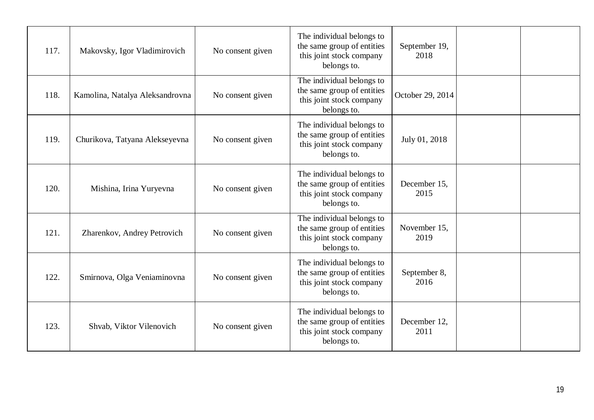| 117. | Makovsky, Igor Vladimirovich    | No consent given | The individual belongs to<br>the same group of entities<br>this joint stock company<br>belongs to. | September 19,<br>2018 |  |
|------|---------------------------------|------------------|----------------------------------------------------------------------------------------------------|-----------------------|--|
| 118. | Kamolina, Natalya Aleksandrovna | No consent given | The individual belongs to<br>the same group of entities<br>this joint stock company<br>belongs to. | October 29, 2014      |  |
| 119. | Churikova, Tatyana Alekseyevna  | No consent given | The individual belongs to<br>the same group of entities<br>this joint stock company<br>belongs to. | July 01, 2018         |  |
| 120. | Mishina, Irina Yuryevna         | No consent given | The individual belongs to<br>the same group of entities<br>this joint stock company<br>belongs to. | December 15,<br>2015  |  |
| 121. | Zharenkov, Andrey Petrovich     | No consent given | The individual belongs to<br>the same group of entities<br>this joint stock company<br>belongs to. | November 15,<br>2019  |  |
| 122. | Smirnova, Olga Veniaminovna     | No consent given | The individual belongs to<br>the same group of entities<br>this joint stock company<br>belongs to. | September 8,<br>2016  |  |
| 123. | Shvab, Viktor Vilenovich        | No consent given | The individual belongs to<br>the same group of entities<br>this joint stock company<br>belongs to. | December 12,<br>2011  |  |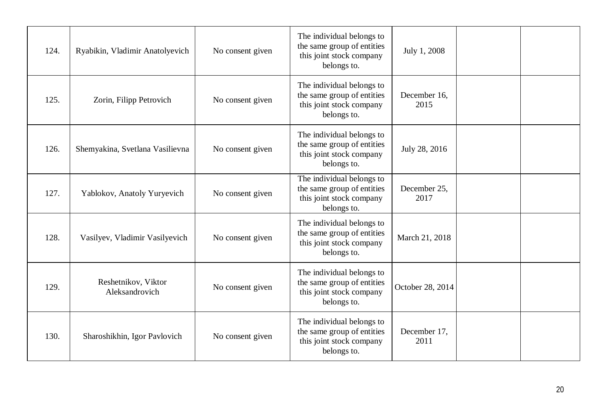| 124. | Ryabikin, Vladimir Anatolyevich       | No consent given | The individual belongs to<br>the same group of entities<br>this joint stock company<br>belongs to. | July 1, 2008         |  |
|------|---------------------------------------|------------------|----------------------------------------------------------------------------------------------------|----------------------|--|
| 125. | Zorin, Filipp Petrovich               | No consent given | The individual belongs to<br>the same group of entities<br>this joint stock company<br>belongs to. | December 16,<br>2015 |  |
| 126. | Shemyakina, Svetlana Vasilievna       | No consent given | The individual belongs to<br>the same group of entities<br>this joint stock company<br>belongs to. | July 28, 2016        |  |
| 127. | Yablokov, Anatoly Yuryevich           | No consent given | The individual belongs to<br>the same group of entities<br>this joint stock company<br>belongs to. | December 25,<br>2017 |  |
| 128. | Vasilyev, Vladimir Vasilyevich        | No consent given | The individual belongs to<br>the same group of entities<br>this joint stock company<br>belongs to. | March 21, 2018       |  |
| 129. | Reshetnikov, Viktor<br>Aleksandrovich | No consent given | The individual belongs to<br>the same group of entities<br>this joint stock company<br>belongs to. | October 28, 2014     |  |
| 130. | Sharoshikhin, Igor Pavlovich          | No consent given | The individual belongs to<br>the same group of entities<br>this joint stock company<br>belongs to. | December 17,<br>2011 |  |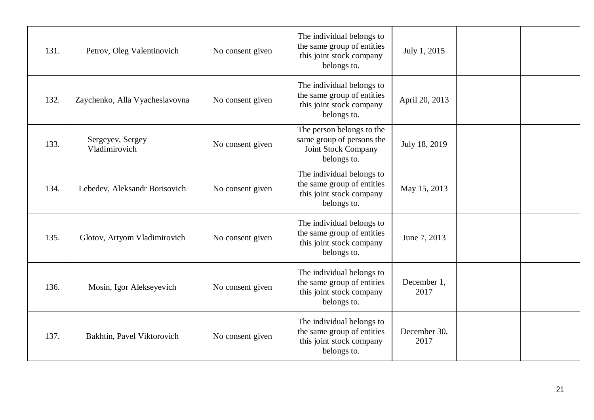| 131. | Petrov, Oleg Valentinovich        | No consent given | The individual belongs to<br>the same group of entities<br>this joint stock company<br>belongs to. | July 1, 2015         |  |
|------|-----------------------------------|------------------|----------------------------------------------------------------------------------------------------|----------------------|--|
| 132. | Zaychenko, Alla Vyacheslavovna    | No consent given | The individual belongs to<br>the same group of entities<br>this joint stock company<br>belongs to. | April 20, 2013       |  |
| 133. | Sergeyev, Sergey<br>Vladimirovich | No consent given | The person belongs to the<br>same group of persons the<br>Joint Stock Company<br>belongs to.       | July 18, 2019        |  |
| 134. | Lebedev, Aleksandr Borisovich     | No consent given | The individual belongs to<br>the same group of entities<br>this joint stock company<br>belongs to. | May 15, 2013         |  |
| 135. | Glotov, Artyom Vladimirovich      | No consent given | The individual belongs to<br>the same group of entities<br>this joint stock company<br>belongs to. | June 7, 2013         |  |
| 136. | Mosin, Igor Alekseyevich          | No consent given | The individual belongs to<br>the same group of entities<br>this joint stock company<br>belongs to. | December 1,<br>2017  |  |
| 137. | Bakhtin, Pavel Viktorovich        | No consent given | The individual belongs to<br>the same group of entities<br>this joint stock company<br>belongs to. | December 30,<br>2017 |  |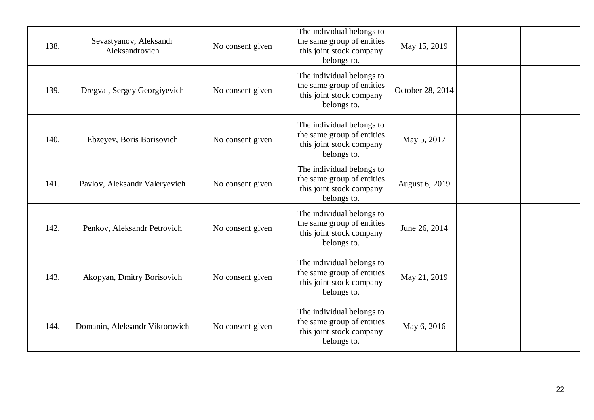| 138. | Sevastyanov, Aleksandr<br>Aleksandrovich | No consent given | The individual belongs to<br>the same group of entities<br>this joint stock company<br>belongs to. | May 15, 2019     |  |
|------|------------------------------------------|------------------|----------------------------------------------------------------------------------------------------|------------------|--|
| 139. | Dregval, Sergey Georgiyevich             | No consent given | The individual belongs to<br>the same group of entities<br>this joint stock company<br>belongs to. | October 28, 2014 |  |
| 140. | Ebzeyev, Boris Borisovich                | No consent given | The individual belongs to<br>the same group of entities<br>this joint stock company<br>belongs to. | May 5, 2017      |  |
| 141. | Pavlov, Aleksandr Valeryevich            | No consent given | The individual belongs to<br>the same group of entities<br>this joint stock company<br>belongs to. | August 6, 2019   |  |
| 142. | Penkov, Aleksandr Petrovich              | No consent given | The individual belongs to<br>the same group of entities<br>this joint stock company<br>belongs to. | June 26, 2014    |  |
| 143. | Akopyan, Dmitry Borisovich               | No consent given | The individual belongs to<br>the same group of entities<br>this joint stock company<br>belongs to. | May 21, 2019     |  |
| 144. | Domanin, Aleksandr Viktorovich           | No consent given | The individual belongs to<br>the same group of entities<br>this joint stock company<br>belongs to. | May 6, 2016      |  |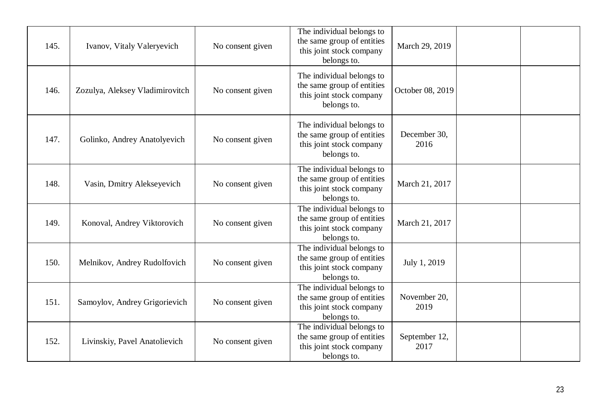| 145. | Ivanov, Vitaly Valeryevich      | No consent given | The individual belongs to<br>the same group of entities<br>this joint stock company<br>belongs to. | March 29, 2019        |
|------|---------------------------------|------------------|----------------------------------------------------------------------------------------------------|-----------------------|
| 146. | Zozulya, Aleksey Vladimirovitch | No consent given | The individual belongs to<br>the same group of entities<br>this joint stock company<br>belongs to. | October 08, 2019      |
| 147. | Golinko, Andrey Anatolyevich    | No consent given | The individual belongs to<br>the same group of entities<br>this joint stock company<br>belongs to. | December 30,<br>2016  |
| 148. | Vasin, Dmitry Alekseyevich      | No consent given | The individual belongs to<br>the same group of entities<br>this joint stock company<br>belongs to. | March 21, 2017        |
| 149. | Konoval, Andrey Viktorovich     | No consent given | The individual belongs to<br>the same group of entities<br>this joint stock company<br>belongs to. | March 21, 2017        |
| 150. | Melnikov, Andrey Rudolfovich    | No consent given | The individual belongs to<br>the same group of entities<br>this joint stock company<br>belongs to. | July 1, 2019          |
| 151. | Samoylov, Andrey Grigorievich   | No consent given | The individual belongs to<br>the same group of entities<br>this joint stock company<br>belongs to. | November 20,<br>2019  |
| 152. | Livinskiy, Pavel Anatolievich   | No consent given | The individual belongs to<br>the same group of entities<br>this joint stock company<br>belongs to. | September 12,<br>2017 |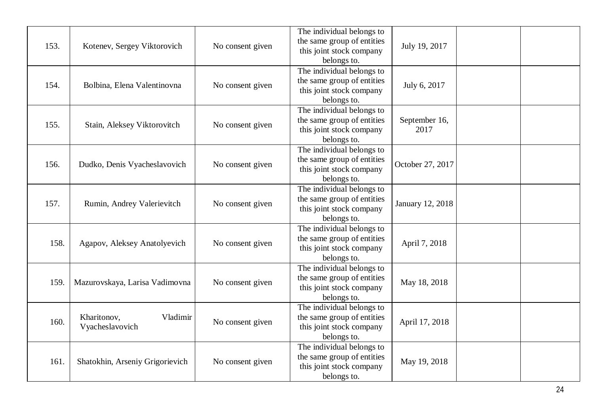| 153. | Kotenev, Sergey Viktorovich                | No consent given | The individual belongs to<br>the same group of entities<br>this joint stock company<br>belongs to. | July 19, 2017         |  |
|------|--------------------------------------------|------------------|----------------------------------------------------------------------------------------------------|-----------------------|--|
| 154. | Bolbina, Elena Valentinovna                | No consent given | The individual belongs to<br>the same group of entities<br>this joint stock company<br>belongs to. | July 6, 2017          |  |
| 155. | Stain, Aleksey Viktorovitch                | No consent given | The individual belongs to<br>the same group of entities<br>this joint stock company<br>belongs to. | September 16,<br>2017 |  |
| 156. | Dudko, Denis Vyacheslavovich               | No consent given | The individual belongs to<br>the same group of entities<br>this joint stock company<br>belongs to. | October 27, 2017      |  |
| 157. | Rumin, Andrey Valerievitch                 | No consent given | The individual belongs to<br>the same group of entities<br>this joint stock company<br>belongs to. | January 12, 2018      |  |
| 158. | Agapov, Aleksey Anatolyevich               | No consent given | The individual belongs to<br>the same group of entities<br>this joint stock company<br>belongs to. | April 7, 2018         |  |
| 159. | Mazurovskaya, Larisa Vadimovna             | No consent given | The individual belongs to<br>the same group of entities<br>this joint stock company<br>belongs to. | May 18, 2018          |  |
| 160. | Kharitonov,<br>Vladimir<br>Vyacheslavovich | No consent given | The individual belongs to<br>the same group of entities<br>this joint stock company<br>belongs to. | April 17, 2018        |  |
| 161. | Shatokhin, Arseniy Grigorievich            | No consent given | The individual belongs to<br>the same group of entities<br>this joint stock company<br>belongs to. | May 19, 2018          |  |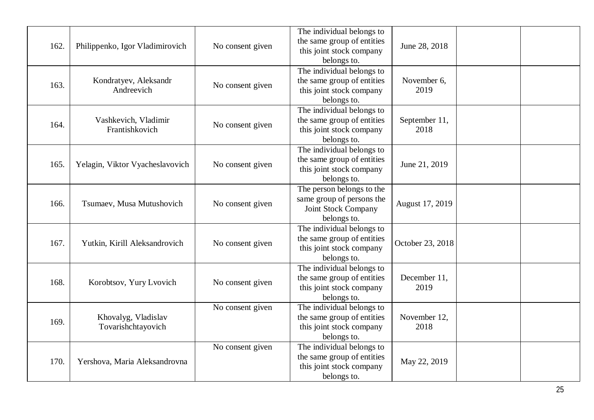|      |                                        |                  | The individual belongs to<br>the same group of entities |                  |  |
|------|----------------------------------------|------------------|---------------------------------------------------------|------------------|--|
| 162. | Philippenko, Igor Vladimirovich        | No consent given | this joint stock company                                | June 28, 2018    |  |
|      |                                        |                  | belongs to.                                             |                  |  |
|      |                                        |                  | The individual belongs to                               |                  |  |
| 163. | Kondratyev, Aleksandr                  | No consent given | the same group of entities                              | November 6,      |  |
|      | Andreevich                             |                  | this joint stock company                                | 2019             |  |
|      |                                        |                  | belongs to.                                             |                  |  |
|      |                                        |                  | The individual belongs to                               |                  |  |
| 164. | Vashkevich, Vladimir<br>Frantishkovich | No consent given | the same group of entities                              | September 11,    |  |
|      |                                        |                  | this joint stock company                                | 2018             |  |
|      |                                        |                  | belongs to.<br>The individual belongs to                |                  |  |
|      |                                        |                  | the same group of entities                              |                  |  |
| 165. | Yelagin, Viktor Vyacheslavovich        | No consent given | this joint stock company                                | June 21, 2019    |  |
|      |                                        |                  | belongs to.                                             |                  |  |
|      |                                        |                  | The person belongs to the                               |                  |  |
|      |                                        |                  | same group of persons the                               |                  |  |
| 166. | Tsumaev, Musa Mutushovich              | No consent given | Joint Stock Company                                     | August 17, 2019  |  |
|      |                                        |                  | belongs to.                                             |                  |  |
|      |                                        |                  | The individual belongs to                               |                  |  |
| 167. | Yutkin, Kirill Aleksandrovich          | No consent given | the same group of entities                              |                  |  |
|      |                                        |                  | this joint stock company                                | October 23, 2018 |  |
|      |                                        |                  | belongs to.                                             |                  |  |
|      |                                        |                  | The individual belongs to                               |                  |  |
| 168. | Korobtsov, Yury Lvovich                | No consent given | the same group of entities                              | December 11,     |  |
|      |                                        |                  | this joint stock company                                | 2019             |  |
|      |                                        |                  | belongs to.                                             |                  |  |
|      |                                        | No consent given | The individual belongs to                               |                  |  |
| 169. | Khovalyg, Vladislav                    |                  | the same group of entities                              | November 12,     |  |
|      | Tovarishchtayovich                     |                  | this joint stock company                                | 2018             |  |
|      |                                        |                  | belongs to.                                             |                  |  |
|      |                                        | No consent given | The individual belongs to<br>the same group of entities |                  |  |
| 170. | Yershova, Maria Aleksandrovna          |                  | this joint stock company                                | May 22, 2019     |  |
|      |                                        |                  | belongs to.                                             |                  |  |
|      |                                        |                  |                                                         |                  |  |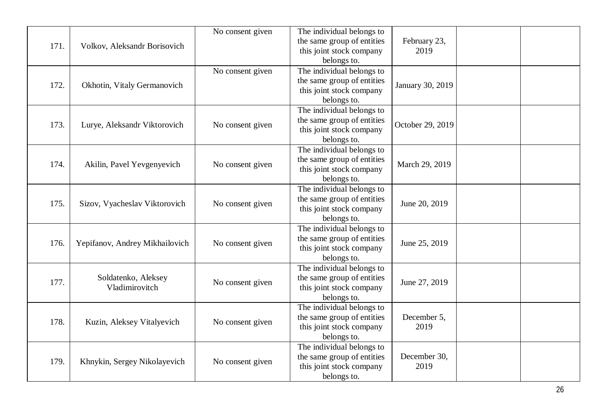| 171. | Volkov, Aleksandr Borisovich          | No consent given | The individual belongs to<br>the same group of entities<br>this joint stock company                | February 23,<br>2019 |  |
|------|---------------------------------------|------------------|----------------------------------------------------------------------------------------------------|----------------------|--|
|      |                                       |                  | belongs to.                                                                                        |                      |  |
| 172. | Okhotin, Vitaly Germanovich           | No consent given | The individual belongs to<br>the same group of entities<br>this joint stock company<br>belongs to. | January 30, 2019     |  |
| 173. | Lurye, Aleksandr Viktorovich          | No consent given | The individual belongs to<br>the same group of entities<br>this joint stock company<br>belongs to. | October 29, 2019     |  |
| 174. | Akilin, Pavel Yevgenyevich            | No consent given | The individual belongs to<br>the same group of entities<br>this joint stock company<br>belongs to. | March 29, 2019       |  |
| 175. | Sizov, Vyacheslav Viktorovich         | No consent given | The individual belongs to<br>the same group of entities<br>this joint stock company<br>belongs to. | June 20, 2019        |  |
| 176. | Yepifanov, Andrey Mikhailovich        | No consent given | The individual belongs to<br>the same group of entities<br>this joint stock company<br>belongs to. | June 25, 2019        |  |
| 177. | Soldatenko, Aleksey<br>Vladimirovitch | No consent given | The individual belongs to<br>the same group of entities<br>this joint stock company<br>belongs to. | June 27, 2019        |  |
| 178. | Kuzin, Aleksey Vitalyevich            | No consent given | The individual belongs to<br>the same group of entities<br>this joint stock company<br>belongs to. | December 5,<br>2019  |  |
| 179. | Khnykin, Sergey Nikolayevich          | No consent given | The individual belongs to<br>the same group of entities<br>this joint stock company<br>belongs to. | December 30,<br>2019 |  |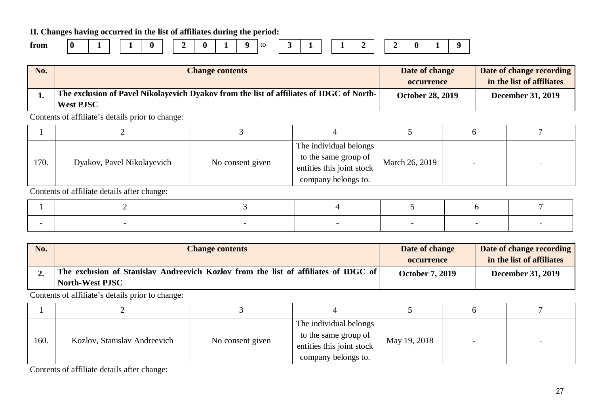**II. Changes having occurred in the list of affiliates during the period:**

**from 0 1 1 0 2 0 1 9** to **3 1 1 2 2 0 1 9**

| No. | <b>Change contents</b>                                                                                       | Date of change          | Date of change recording  |
|-----|--------------------------------------------------------------------------------------------------------------|-------------------------|---------------------------|
|     |                                                                                                              | <b>occurrence</b>       | in the list of affiliates |
|     | The exclusion of Pavel Nikolayevich Dyakov from the list of affiliates of IDGC of North-<br><b>West PJSC</b> | <b>October 28, 2019</b> | <b>December 31, 2019</b>  |

Contents of affiliate's details prior to change:

| 170. | Dyakov, Pavel Nikolayevich | No consent given | The individual belongs<br>to the same group of<br>entities this joint stock<br>company belongs to. | March 26, 2019 |  |
|------|----------------------------|------------------|----------------------------------------------------------------------------------------------------|----------------|--|

Contents of affiliate details after change:

| No. | <b>Change contents</b>                                                                                 | Date of change<br><b>occurrence</b> | Date of change recording<br>in the list of affiliates |
|-----|--------------------------------------------------------------------------------------------------------|-------------------------------------|-------------------------------------------------------|
|     | The exclusion of Stanislav Andreevich Kozlov from the list of affiliates of IDGC of<br>North-West PJSC | <b>October 7, 2019</b>              | <b>December 31, 2019</b>                              |

Contents of affiliate's details prior to change:

| 160. |                              |                  | The individual belongs    |              |  |  |
|------|------------------------------|------------------|---------------------------|--------------|--|--|
|      | Kozlov, Stanislav Andreevich | No consent given | to the same group of      | May 19, 2018 |  |  |
|      |                              |                  | entities this joint stock |              |  |  |
|      |                              |                  | company belongs to.       |              |  |  |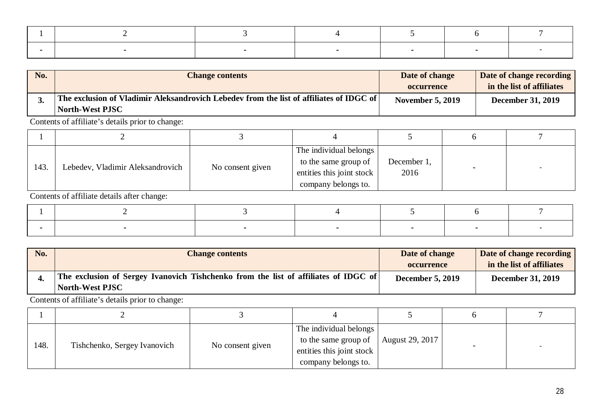| No. | <b>Change contents</b>                                                                                              | Date of change<br><b>occurrence</b> | Date of change recording<br>in the list of affiliates |
|-----|---------------------------------------------------------------------------------------------------------------------|-------------------------------------|-------------------------------------------------------|
|     | ' The exclusion of Vladimir Aleksandrovich Lebedev from the list of affiliates of IDGC of $\mid$<br>North-West PJSC | <b>November 5, 2019</b>             | <b>December 31, 2019</b>                              |

| 143. | Lebedev, Vladimir Aleksandrovich | No consent given | The individual belongs<br>to the same group of<br>entities this joint stock<br>company belongs to. | December 1,<br>2016 |  |
|------|----------------------------------|------------------|----------------------------------------------------------------------------------------------------|---------------------|--|

Contents of affiliate details after change:

| No. | <b>Change contents</b>                                                                                 | Date of change          | Date of change recording  |
|-----|--------------------------------------------------------------------------------------------------------|-------------------------|---------------------------|
|     |                                                                                                        | occurrence              | in the list of affiliates |
|     | The exclusion of Sergey Ivanovich Tishchenko from the list of affiliates of IDGC of<br>North-West PJSC | <b>December 5, 2019</b> | <b>December 31, 2019</b>  |

Contents of affiliate's details prior to change:

| 148. | Tishchenko, Sergey Ivanovich | No consent given | The individual belongs<br>to the same group of<br>entities this joint stock<br>company belongs to. | August 29, 2017 |  |
|------|------------------------------|------------------|----------------------------------------------------------------------------------------------------|-----------------|--|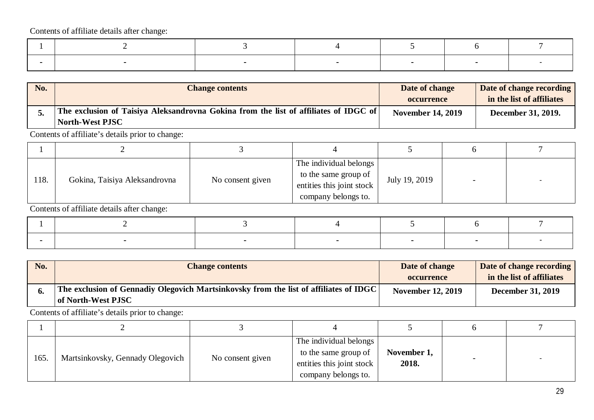Contents of affiliate details after change:

| No. | <b>Change contents</b>                                                                                         | Date of change<br><b>occurrence</b> | Date of change recording<br>in the list of affiliates |
|-----|----------------------------------------------------------------------------------------------------------------|-------------------------------------|-------------------------------------------------------|
|     | The exclusion of Taisiya Aleksandrovna Gokina from the list of affiliates of IDGC of<br><b>North-West PJSC</b> | <b>November 14, 2019</b>            | December 31, 2019.                                    |

Contents of affiliate's details prior to change:

| 118. | Gokina, Taisiya Aleksandrovna | No consent given | The individual belongs<br>to the same group of<br>entities this joint stock<br>company belongs to. | July 19, 2019 |  |
|------|-------------------------------|------------------|----------------------------------------------------------------------------------------------------|---------------|--|

Contents of affiliate details after change:

| No. | <b>Change contents</b>                                                                                              | Date of change           | Date of change recording  |
|-----|---------------------------------------------------------------------------------------------------------------------|--------------------------|---------------------------|
|     |                                                                                                                     | occurrence               | in the list of affiliates |
|     | The exclusion of Gennadiy Olegovich Martsinkovsky from the list of affiliates of IDGC $\vert$<br>of North-West PJSC | <b>November 12, 2019</b> | <b>December 31, 2019</b>  |

Contents of affiliate's details prior to change:

| 165. | Martsinkovsky, Gennady Olegovich | No consent given | The individual belongs<br>to the same group of<br>entities this joint stock<br>company belongs to. | November 1,<br>2018. |  |
|------|----------------------------------|------------------|----------------------------------------------------------------------------------------------------|----------------------|--|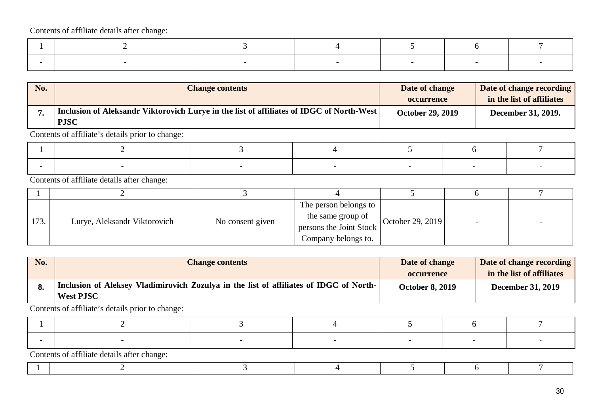Contents of affiliate details after change:

| No. | <b>Change contents</b>                                                                                  | Date of change          | Date of change recording  |
|-----|---------------------------------------------------------------------------------------------------------|-------------------------|---------------------------|
|     |                                                                                                         | <b>occurrence</b>       | in the list of affiliates |
|     | Inclusion of Aleksandr Viktorovich Lurye in the list of affiliates of IDGC of North-West<br><b>PJSC</b> | <b>October 29, 2019</b> | December 31, 2019.        |

Contents of affiliate's details prior to change:

Contents of affiliate details after change:

| 173. | Lurye, Aleksandr Viktorovich | No consent given | The person belongs to<br>the same group of<br>persons the Joint Stock<br>Company belongs to. | October 29, 2019 |  |
|------|------------------------------|------------------|----------------------------------------------------------------------------------------------|------------------|--|

| No. | <b>Change contents</b>                                                                                     | Date of change         | Date of change recording  |
|-----|------------------------------------------------------------------------------------------------------------|------------------------|---------------------------|
|     |                                                                                                            | <b>occurrence</b>      | in the list of affiliates |
|     | Inclusion of Aleksey Vladimirovich Zozulya in the list of affiliates of IDGC of North-<br><b>West PJSC</b> | <b>October 8, 2019</b> | <b>December 31, 2019</b>  |

Contents of affiliate's details prior to change:

| Contents of efficient details often above |  |  |  |  |  |  |  |  |  |
|-------------------------------------------|--|--|--|--|--|--|--|--|--|

|--|--|--|--|--|--|--|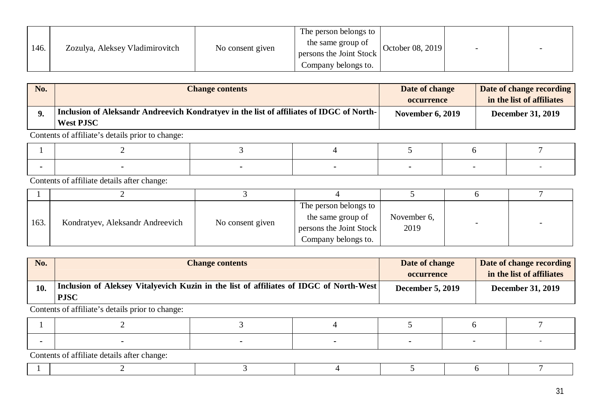|      |                                 |                  | The person belongs to   |                  |  |
|------|---------------------------------|------------------|-------------------------|------------------|--|
| 146. | Zozulya, Aleksey Vladimirovitch | No consent given | the same group of       | October 08, 2019 |  |
|      |                                 |                  | persons the Joint Stock |                  |  |
|      |                                 |                  | Company belongs to.     |                  |  |

| No. | <b>Change contents</b>                                                                                       | Date of change          | Date of change recording  |
|-----|--------------------------------------------------------------------------------------------------------------|-------------------------|---------------------------|
|     |                                                                                                              | <b>occurrence</b>       | in the list of affiliates |
|     | Inclusion of Aleksandr Andreevich Kondratyev in the list of affiliates of IDGC of North-<br><b>West PJSC</b> | <b>November 6, 2019</b> | <b>December 31, 2019</b>  |

Contents of affiliate details after change:

| 163. | Kondratyev, Aleksandr Andreevich | No consent given | The person belongs to<br>the same group of<br>persons the Joint Stock<br>Company belongs to. | November 6,<br>2019 |  |
|------|----------------------------------|------------------|----------------------------------------------------------------------------------------------|---------------------|--|

| No. | <b>Change contents</b>                                                                                | Date of change          | Date of change recording  |
|-----|-------------------------------------------------------------------------------------------------------|-------------------------|---------------------------|
|     |                                                                                                       | occurrence              | in the list of affiliates |
| 10. | Inclusion of Aleksey Vitalyevich Kuzin in the list of affiliates of IDGC of North-West<br><b>PJSC</b> | <b>December 5, 2019</b> | <b>December 31, 2019</b>  |

Contents of affiliate's details prior to change:

|  |  | Contents of efficient details often abongo: |  |  |  |  |  |  |  |
|--|--|---------------------------------------------|--|--|--|--|--|--|--|

|--|--|--|--|--|--|--|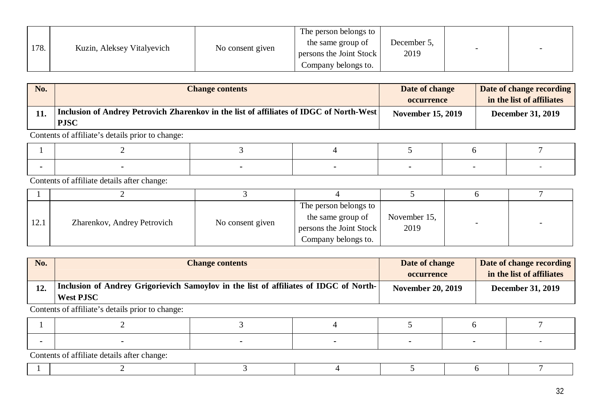|      |                            |                  | The person belongs to   |             |  |
|------|----------------------------|------------------|-------------------------|-------------|--|
| 178. | Kuzin, Aleksey Vitalyevich | No consent given | the same group of       | December 5, |  |
|      |                            |                  | persons the Joint Stock | 2019        |  |
|      |                            |                  | Company belongs to.     |             |  |

| No. | <b>Change contents</b>                                                                                 | Date of change           | Date of change recording  |
|-----|--------------------------------------------------------------------------------------------------------|--------------------------|---------------------------|
|     |                                                                                                        | <b>occurrence</b>        | in the list of affiliates |
|     | Inclusion of Andrey Petrovich Zharenkov in the list of affiliates of IDGC of North-West<br><b>PJSC</b> | <b>November 15, 2019</b> | <b>December 31, 2019</b>  |

Contents of affiliate details after change:

| 12.1 | Zharenkov, Andrey Petrovich | No consent given | The person belongs to<br>the same group of<br>persons the Joint Stock<br>Company belongs to. | November 15,<br>2019 |  |
|------|-----------------------------|------------------|----------------------------------------------------------------------------------------------|----------------------|--|

| No. | <b>Change contents</b>                                                                                    | Date of change<br><b>occurrence</b> | Date of change recording<br>in the list of affiliates |
|-----|-----------------------------------------------------------------------------------------------------------|-------------------------------------|-------------------------------------------------------|
|     | Inclusion of Andrey Grigorievich Samoylov in the list of affiliates of IDGC of North-<br><b>West PJSC</b> | <b>November 20, 2019</b>            | <b>December 31, 2019</b>                              |

Contents of affiliate's details prior to change:

| $C_{\text{c}}$ of $\mathcal{L}$ of $\mathcal{L}$ $\mathcal{L}$ $\mathcal{L}$ $\mathcal{L}$ $\mathcal{L}$ $\mathcal{L}$ $\mathcal{L}$ $\mathcal{L}$ $\mathcal{L}$ $\mathcal{L}$ $\mathcal{L}$ $\mathcal{L}$ $\mathcal{L}$ $\mathcal{L}$ $\mathcal{L}$ $\mathcal{L}$ $\mathcal{L}$ $\mathcal{L}$ $\mathcal{L}$ $\mathcal{L}$ $\mathcal{L}$ $\mathcal{L}$ |  |  |  |
|--------------------------------------------------------------------------------------------------------------------------------------------------------------------------------------------------------------------------------------------------------------------------------------------------------------------------------------------------------|--|--|--|

|--|--|--|--|--|--|--|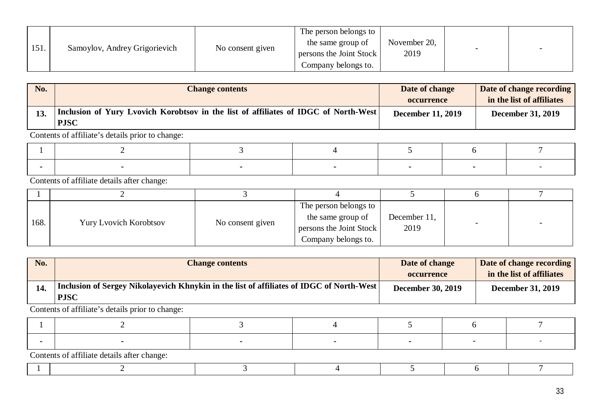|      |                               |                  | The person belongs to   |              |  |
|------|-------------------------------|------------------|-------------------------|--------------|--|
|      |                               |                  | the same group of       | November 20, |  |
| 151. | Samoylov, Andrey Grigorievich | No consent given | persons the Joint Stock | 2019         |  |
|      |                               |                  | Company belongs to.     |              |  |

| No. | <b>Change contents</b>                                                                             | Date of change<br><b>occurrence</b> | Date of change recording<br>in the list of affiliates |
|-----|----------------------------------------------------------------------------------------------------|-------------------------------------|-------------------------------------------------------|
|     | Inclusion of Yury Lvovich Korobtsov in the list of affiliates of IDGC of North-West<br><b>PJSC</b> | <b>December 11, 2019</b>            | <b>December 31, 2019</b>                              |

Contents of affiliate details after change:

| 168. | <b>Yury Lvovich Korobtsov</b> | No consent given | The person belongs to<br>the same group of<br>persons the Joint Stock<br>Company belongs to. | December 11,<br>2019 |  |
|------|-------------------------------|------------------|----------------------------------------------------------------------------------------------|----------------------|--|

| No. | <b>Change contents</b>                                                                                  | Date of change           | Date of change recording  |
|-----|---------------------------------------------------------------------------------------------------------|--------------------------|---------------------------|
|     |                                                                                                         | <b>occurrence</b>        | in the list of affiliates |
| 14. | Inclusion of Sergey Nikolayevich Khnykin in the list of affiliates of IDGC of North-West<br><b>PJSC</b> | <b>December 30, 2019</b> | <b>December 31, 2019</b>  |

Contents of affiliate's details prior to change:

| Contents of affiliate details after change: |  |  |  |  |  |  |  |  |
|---------------------------------------------|--|--|--|--|--|--|--|--|

 $1 \t 2 \t 3 \t 4 \t 5 \t 6 \t 7$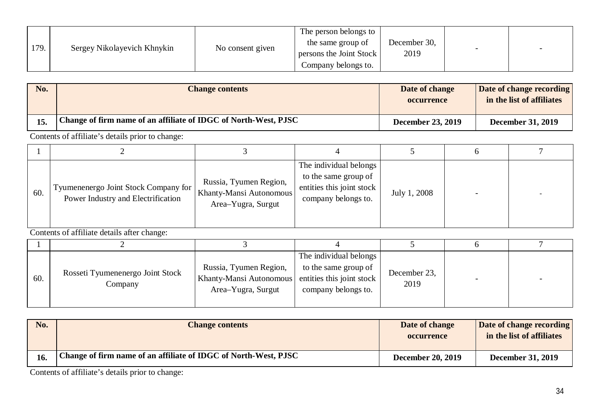|      |                             |                  | The person belongs to   |              |                          |                          |
|------|-----------------------------|------------------|-------------------------|--------------|--------------------------|--------------------------|
|      |                             |                  | the same group of       | December 30, |                          |                          |
| 179. | Sergey Nikolayevich Khnykin | No consent given | persons the Joint Stock | 2019         | $\overline{\phantom{0}}$ | $\overline{\phantom{0}}$ |
|      |                             |                  | Company belongs to.     |              |                          |                          |

| No. | <b>Change contents</b>                                               | Date of change<br><b>occurrence</b> | Date of change recording<br>in the list of affiliates |
|-----|----------------------------------------------------------------------|-------------------------------------|-------------------------------------------------------|
| 15. | Change of firm name of an affiliate of IDGC of North-West, PJSC $\,$ | <b>December 23, 2019</b>            | <b>December 31, 2019</b>                              |

| 60. | Tyumenenergo Joint Stock Company for<br>Power Industry and Electrification | Russia, Tyumen Region,<br>Khanty-Mansi Autonomous<br>Area–Yugra, Surgut | The individual belongs<br>to the same group of<br>entities this joint stock<br>company belongs to. | July 1, 2008 |  |
|-----|----------------------------------------------------------------------------|-------------------------------------------------------------------------|----------------------------------------------------------------------------------------------------|--------------|--|

Contents of affiliate details after change:

| 60. | Rosseti Tyumenenergo Joint Stock<br>Company | Russia, Tyumen Region,<br>Khanty-Mansi Autonomous<br>Area-Yugra, Surgut | The individual belongs<br>to the same group of<br>entities this joint stock<br>company belongs to. | December 23,<br>2019 |  |
|-----|---------------------------------------------|-------------------------------------------------------------------------|----------------------------------------------------------------------------------------------------|----------------------|--|

| <b>No.</b> | <b>Change contents</b>                                          | Date of change<br><b>occurrence</b> | Date of change recording<br>in the list of affiliates |
|------------|-----------------------------------------------------------------|-------------------------------------|-------------------------------------------------------|
| 16.        | Change of firm name of an affiliate of IDGC of North-West, PJSC | <b>December 20, 2019</b>            | <b>December 31, 2019</b>                              |

Contents of affiliate's details prior to change: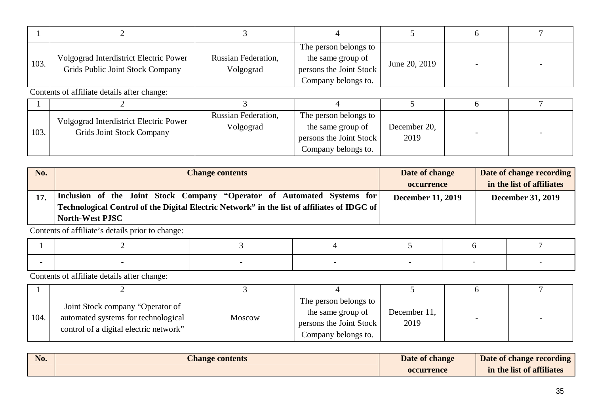| 103. | Volgograd Interdistrict Electric Power<br>Grids Public Joint Stock Company | <b>Russian Federation,</b><br>Volgograd | The person belongs to<br>the same group of<br>persons the Joint Stock<br>Company belongs to. | June 20, 2019 |  |
|------|----------------------------------------------------------------------------|-----------------------------------------|----------------------------------------------------------------------------------------------|---------------|--|

Contents of affiliate details after change:

| 103. | Volgograd Interdistrict Electric Power<br>Grids Joint Stock Company | Russian Federation,<br>Volgograd | The person belongs to<br>the same group of<br>persons the Joint Stock<br>Company belongs to. | December 20,<br>2019 |  |
|------|---------------------------------------------------------------------|----------------------------------|----------------------------------------------------------------------------------------------|----------------------|--|

| No. | <b>Change contents</b>                                                                      | Date of change           | Date of change recording  |
|-----|---------------------------------------------------------------------------------------------|--------------------------|---------------------------|
|     |                                                                                             | <b>occurrence</b>        | in the list of affiliates |
|     | Inclusion of the Joint Stock Company "Operator of Automated Systems for                     | <b>December 11, 2019</b> | <b>December 31, 2019</b>  |
|     | Technological Control of the Digital Electric Network" in the list of affiliates of IDGC of |                          |                           |
|     | <b>North-West PJSC</b>                                                                      |                          |                           |

Contents of affiliate's details prior to change:

| 104. | Joint Stock company "Operator of<br>automated systems for technological<br>control of a digital electric network" | Moscow | The person belongs to<br>the same group of<br>persons the Joint Stock<br>Company belongs to. | December 11,<br>2019 |  |
|------|-------------------------------------------------------------------------------------------------------------------|--------|----------------------------------------------------------------------------------------------|----------------------|--|

| No. | Change contents | Date of change    | Date of change recording  |
|-----|-----------------|-------------------|---------------------------|
|     |                 | <b>occurrence</b> | in the list of affiliates |